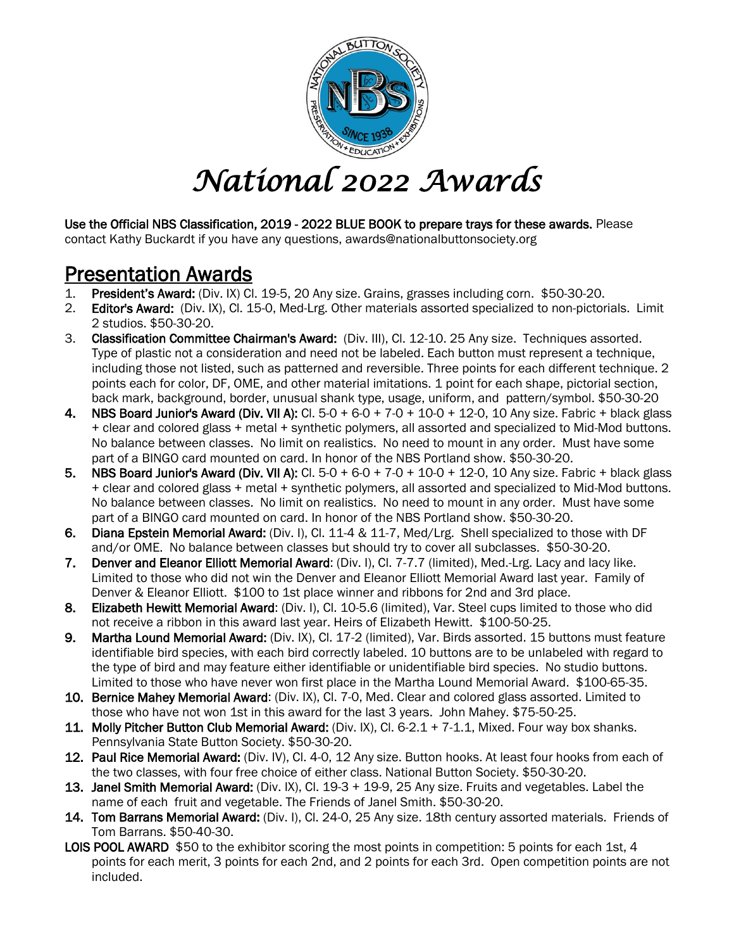

## *National 2022 Awards*

Use the Official NBS Classification, 2019 - 2022 BLUE BOOK to prepare trays for these awards. Please contact Kathy Buckardt if you have any questions, awards@nationalbuttonsociety.org

- Presentation Awards<br>1. President's Award: (Div. IX) Cl. 19-5, 20 Any size. Grains, grasses including corn. \$50-30-20.
- 2. Editor's Award: (Div. IX), Cl. 15-0, Med-Lrg. Other materials assorted specialized to non-pictorials. Limit 2 studios. \$50-30-20.
- 3. Classification Committee Chairman's Award: (Div. III), Cl. 12-10. 25 Any size. Techniques assorted. Type of plastic not a consideration and need not be labeled. Each button must represent a technique, including those not listed, such as patterned and reversible. Three points for each different technique. 2 points each for color, DF, OME, and other material imitations. 1 point for each shape, pictorial section, back mark, background, border, unusual shank type, usage, uniform, and pattern/symbol. \$50-30-20
- 4. NBS Board Junior's Award (Div. VII A): Cl. 5-0 + 6-0 + 7-0 + 10-0 + 12-0, 10 Any size. Fabric + black glass + clear and colored glass + metal + synthetic polymers, all assorted and specialized to Mid-Mod buttons. No balance between classes. No limit on realistics. No need to mount in any order. Must have some part of a BINGO card mounted on card. In honor of the NBS Portland show. \$50-30-20.
- 5. NBS Board Junior's Award (Div. VII A): Cl. 5-0 + 6-0 + 7-0 + 10-0 + 12-0, 10 Any size. Fabric + black glass + clear and colored glass + metal + synthetic polymers, all assorted and specialized to Mid-Mod buttons. No balance between classes. No limit on realistics. No need to mount in any order. Must have some part of a BINGO card mounted on card. In honor of the NBS Portland show. \$50-30-20.
- 6. Diana Epstein Memorial Award: (Div. I), Cl. 11-4 & 11-7, Med/Lrg. Shell specialized to those with DF and/or OME. No balance between classes but should try to cover all subclasses. \$50-30-20.
- 7. Denver and Eleanor Elliott Memorial Award: (Div. I), Cl. 7-7.7 (limited), Med.-Lrg. Lacy and lacy like. Limited to those who did not win the Denver and Eleanor Elliott Memorial Award last year. Family of Denver & Eleanor Elliott. \$100 to 1st place winner and ribbons for 2nd and 3rd place.
- 8. Elizabeth Hewitt Memorial Award: (Div. I), Cl. 10-5.6 (limited), Var. Steel cups limited to those who did not receive a ribbon in this award last year. Heirs of Elizabeth Hewitt. \$100-50-25.
- 9. Martha Lound Memorial Award: (Div. IX), Cl. 17-2 (limited), Var. Birds assorted. 15 buttons must feature identifiable bird species, with each bird correctly labeled. 10 buttons are to be unlabeled with regard to the type of bird and may feature either identifiable or unidentifiable bird species. No studio buttons. Limited to those who have never won first place in the Martha Lound Memorial Award. \$100-65-35.
- 10. Bernice Mahey Memorial Award: (Div. IX), Cl. 7-0, Med. Clear and colored glass assorted. Limited to those who have not won 1st in this award for the last 3 years. John Mahey. \$75-50-25.
- 11. Molly Pitcher Button Club Memorial Award: (Div. IX), Cl. 6-2.1 + 7-1.1, Mixed. Four way box shanks. Pennsylvania State Button Society. \$50-30-20.
- 12. Paul Rice Memorial Award: (Div. IV), Cl. 4-0, 12 Any size. Button hooks. At least four hooks from each of the two classes, with four free choice of either class. National Button Society. \$50-30-20.
- 13. Janel Smith Memorial Award: (Div. IX), Cl. 19-3 + 19-9, 25 Any size. Fruits and vegetables. Label the name of each fruit and vegetable. The Friends of Janel Smith. \$50-30-20.
- 14. Tom Barrans Memorial Award: (Div. I), Cl. 24-0, 25 Any size. 18th century assorted materials. Friends of Tom Barrans. \$50-40-30.
- LOIS POOL AWARD \$50 to the exhibitor scoring the most points in competition: 5 points for each 1st, 4 points for each merit, 3 points for each 2nd, and 2 points for each 3rd. Open competition points are not included.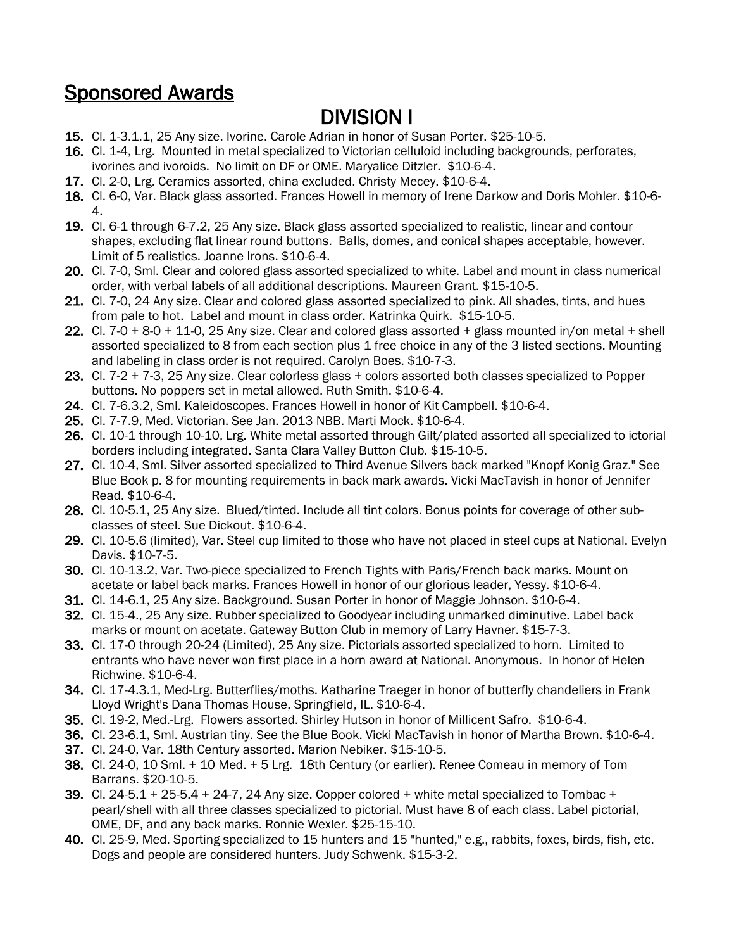### Sponsored Awards

- **DIVISION I** 15. Cl. 1-3.1.1, 25 Any size. Ivorine. Carole Adrian in honor of Susan Porter. \$25-10-5.
- 16. Cl. 1-4, Lrg. Mounted in metal specialized to Victorian celluloid including backgrounds, perforates, ivorines and ivoroids. No limit on DF or OME. Maryalice Ditzler. \$10-6-4.
- 17. Cl. 2-0, Lrg. Ceramics assorted, china excluded. Christy Mecey. \$10-6-4.
- 18. Cl. 6-0, Var. Black glass assorted. Frances Howell in memory of Irene Darkow and Doris Mohler. \$10-6- 4.
- 19. Cl. 6-1 through 6-7.2, 25 Any size. Black glass assorted specialized to realistic, linear and contour shapes, excluding flat linear round buttons. Balls, domes, and conical shapes acceptable, however. Limit of 5 realistics. Joanne Irons. \$10-6-4.
- 20. Cl. 7-0, Sml. Clear and colored glass assorted specialized to white. Label and mount in class numerical order, with verbal labels of all additional descriptions. Maureen Grant. \$15-10-5.
- 21. Cl. 7-0, 24 Any size. Clear and colored glass assorted specialized to pink. All shades, tints, and hues from pale to hot. Label and mount in class order. Katrinka Quirk. \$15-10-5.
- 22. Cl. 7-0 + 8-0 + 11-0, 25 Any size. Clear and colored glass assorted + glass mounted in/on metal + shell assorted specialized to 8 from each section plus 1 free choice in any of the 3 listed sections. Mounting and labeling in class order is not required. Carolyn Boes. \$10-7-3.
- 23. Cl. 7-2 + 7-3, 25 Any size. Clear colorless glass + colors assorted both classes specialized to Popper buttons. No poppers set in metal allowed. Ruth Smith. \$10-6-4.
- 24. Cl. 7-6.3.2, Sml. Kaleidoscopes. Frances Howell in honor of Kit Campbell. \$10-6-4.
- 25. Cl. 7-7.9, Med. Victorian. See Jan. 2013 NBB. Marti Mock. \$10-6-4.
- 26. Cl. 10-1 through 10-10, Lrg. White metal assorted through Gilt/plated assorted all specialized to ictorial borders including integrated. Santa Clara Valley Button Club. \$15-10-5.
- 27. Cl. 10-4, Sml. Silver assorted specialized to Third Avenue Silvers back marked "Knopf Konig Graz." See Blue Book p. 8 for mounting requirements in back mark awards. Vicki MacTavish in honor of Jennifer Read. \$10-6-4.
- 28. Cl. 10-5.1, 25 Any size. Blued/tinted. Include all tint colors. Bonus points for coverage of other subclasses of steel. Sue Dickout. \$10-6-4.
- 29. Cl. 10-5.6 (limited), Var. Steel cup limited to those who have not placed in steel cups at National. Evelyn Davis. \$10-7-5.
- 30. Cl. 10-13.2, Var. Two-piece specialized to French Tights with Paris/French back marks. Mount on acetate or label back marks. Frances Howell in honor of our glorious leader, Yessy. \$10-6-4.
- 31. Cl. 14-6.1, 25 Any size. Background. Susan Porter in honor of Maggie Johnson. \$10-6-4.
- 32. Cl. 15-4., 25 Any size. Rubber specialized to Goodyear including unmarked diminutive. Label back marks or mount on acetate. Gateway Button Club in memory of Larry Havner. \$15-7-3.
- 33. Cl. 17-0 through 20-24 (Limited), 25 Any size. Pictorials assorted specialized to horn. Limited to entrants who have never won first place in a horn award at National. Anonymous. In honor of Helen Richwine. \$10-6-4.
- 34. Cl. 17-4.3.1, Med-Lrg. Butterflies/moths. Katharine Traeger in honor of butterfly chandeliers in Frank Lloyd Wright's Dana Thomas House, Springfield, IL. \$10-6-4.
- 35. Cl. 19-2, Med.-Lrg. Flowers assorted. Shirley Hutson in honor of Millicent Safro. \$10-6-4.
- 36. Cl. 23-6.1, Sml. Austrian tiny. See the Blue Book. Vicki MacTavish in honor of Martha Brown. \$10-6-4.
- 37. Cl. 24-0, Var. 18th Century assorted. Marion Nebiker. \$15-10-5.
- 38. Cl. 24-0, 10 Sml. + 10 Med. + 5 Lrg. 18th Century (or earlier). Renee Comeau in memory of Tom Barrans. \$20-10-5.
- 39. Cl.  $24-5.1 + 25-5.4 + 24-7$ , 24 Any size. Copper colored  $+$  white metal specialized to Tombac  $+$ pearl/shell with all three classes specialized to pictorial. Must have 8 of each class. Label pictorial, OME, DF, and any back marks. Ronnie Wexler. \$25-15-10.
- 40. Cl. 25-9, Med. Sporting specialized to 15 hunters and 15 "hunted," e.g., rabbits, foxes, birds, fish, etc. Dogs and people are considered hunters. Judy Schwenk. \$15-3-2.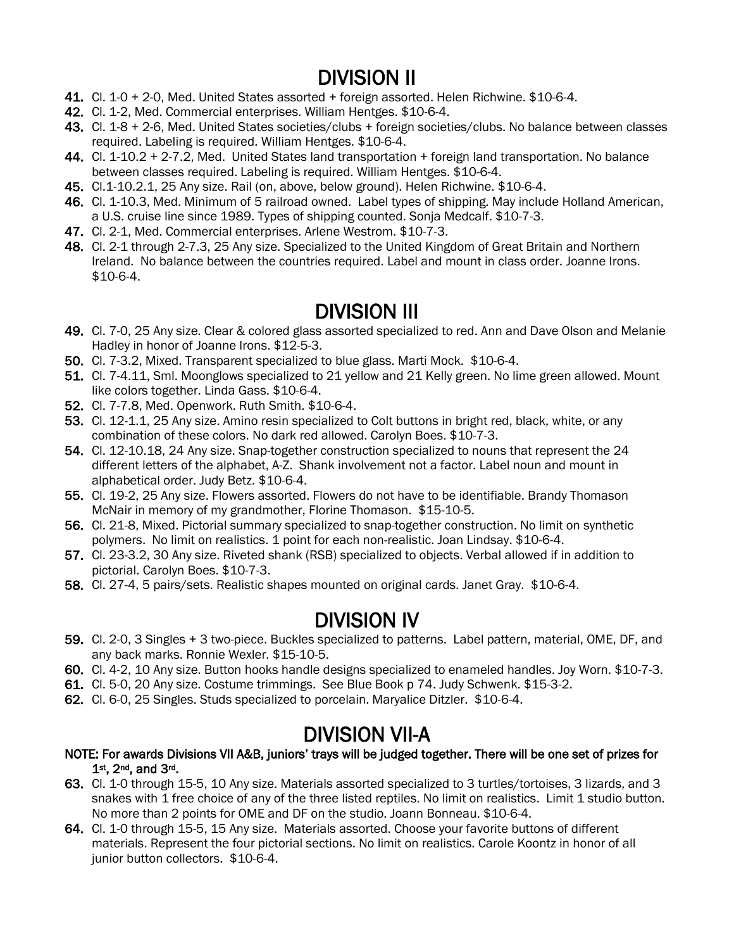- **DIVISION II**<br>41. Cl. 1-0 + 2-0, Med. United States assorted + foreign assorted. Helen Richwine. \$10-6-4.
- 42. Cl. 1-2, Med. Commercial enterprises. William Hentges. \$10-6-4.
- 43. Cl. 1-8 + 2-6, Med. United States societies/clubs + foreign societies/clubs. No balance between classes required. Labeling is required. William Hentges. \$10-6-4.
- 44. Cl. 1-10.2 + 2-7.2, Med. United States land transportation + foreign land transportation. No balance between classes required. Labeling is required. William Hentges. \$10-6-4.
- 45. Cl.1-10.2.1, 25 Any size. Rail (on, above, below ground). Helen Richwine. \$10-6-4.
- 46. Cl. 1-10.3, Med. Minimum of 5 railroad owned. Label types of shipping. May include Holland American, a U.S. cruise line since 1989. Types of shipping counted. Sonja Medcalf. \$10-7-3.
- 47. Cl. 2-1, Med. Commercial enterprises. Arlene Westrom. \$10-7-3.
- 48. Cl. 2-1 through 2-7.3, 25 Any size. Specialized to the United Kingdom of Great Britain and Northern Ireland. No balance between the countries required. Label and mount in class order. Joanne Irons. \$10-6-4.

- **DIVISION III**<br>49. Cl. 7-0, 25 Any size. Clear & colored glass assorted specialized to red. Ann and Dave Olson and Melanie Hadley in honor of Joanne Irons. \$12-5-3.
- 50. Cl. 7-3.2, Mixed. Transparent specialized to blue glass. Marti Mock. \$10-6-4.
- 51. Cl. 7-4.11, Sml. Moonglows specialized to 21 yellow and 21 Kelly green. No lime green allowed. Mount like colors together. Linda Gass. \$10-6-4.
- 52. Cl. 7-7.8, Med. Openwork. Ruth Smith. \$10-6-4.
- 53. Cl. 12-1.1, 25 Any size. Amino resin specialized to Colt buttons in bright red, black, white, or any combination of these colors. No dark red allowed. Carolyn Boes. \$10-7-3.
- 54. Cl. 12-10.18, 24 Any size. Snap-together construction specialized to nouns that represent the 24 different letters of the alphabet, A-Z. Shank involvement not a factor. Label noun and mount in alphabetical order. Judy Betz. \$10-6-4.
- 55. Cl. 19-2, 25 Any size. Flowers assorted. Flowers do not have to be identifiable. Brandy Thomason McNair in memory of my grandmother, Florine Thomason. \$15-10-5.
- 56. Cl. 21-8, Mixed. Pictorial summary specialized to snap-together construction. No limit on synthetic polymers. No limit on realistics. 1 point for each non-realistic. Joan Lindsay. \$10-6-4.
- 57. Cl. 23-3.2, 30 Any size. Riveted shank (RSB) specialized to objects. Verbal allowed if in addition to pictorial. Carolyn Boes. \$10-7-3.
- 58. Cl. 27-4, 5 pairs/sets. Realistic shapes mounted on original cards. Janet Gray. \$10-6-4.

- **DIVISION IV**<br>59. Cl. 2-0, 3 Singles + 3 two-piece. Buckles specialized to patterns. Label pattern, material, OME, DF, and any back marks. Ronnie Wexler. \$15-10-5.
- 60. Cl. 4-2, 10 Any size. Button hooks handle designs specialized to enameled handles. Joy Worn. \$10-7-3.
- 61. Cl. 5-0, 20 Any size. Costume trimmings. See Blue Book p 74. Judy Schwenk. \$15-3-2.
- 62. Cl. 6-0, 25 Singles. Studs specialized to porcelain. Maryalice Ditzler. \$10-6-4.

- DIVISION VII-A<br>NOTE: For awards Divisions VII A&B, juniors' trays will be judged together. There will be one set of prizes for 1st, 2nd, and 3rd.
- 63. Cl. 1-0 through 15-5, 10 Any size. Materials assorted specialized to 3 turtles/tortoises, 3 lizards, and 3 snakes with 1 free choice of any of the three listed reptiles. No limit on realistics. Limit 1 studio button. No more than 2 points for OME and DF on the studio. Joann Bonneau. \$10-6-4.
- 64. Cl. 1-0 through 15-5, 15 Any size. Materials assorted. Choose your favorite buttons of different materials. Represent the four pictorial sections. No limit on realistics. Carole Koontz in honor of all junior button collectors. \$10-6-4.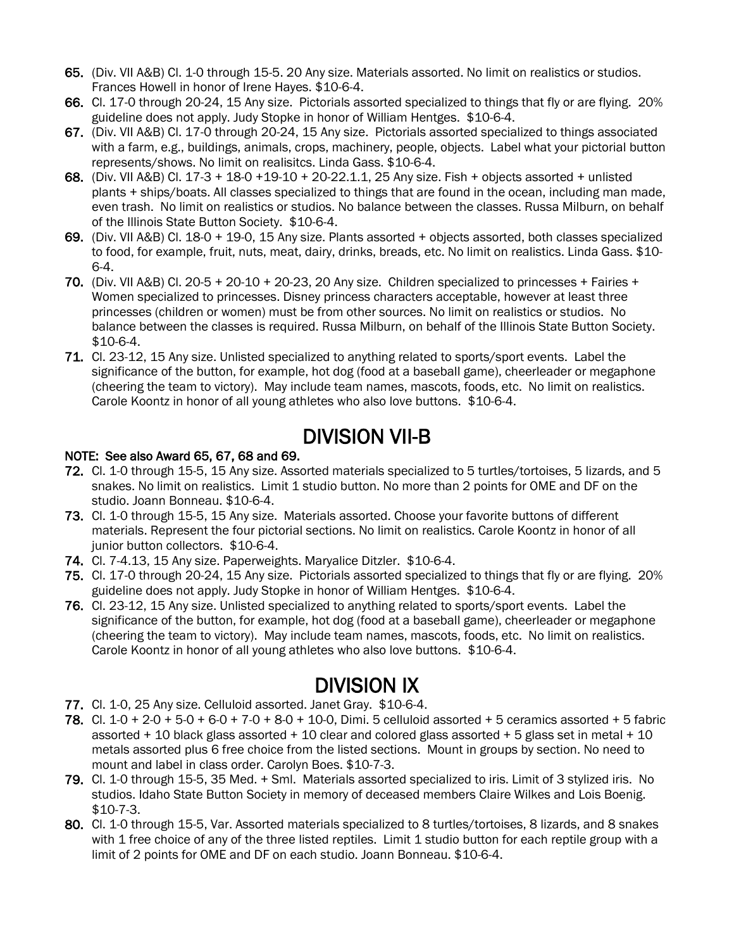- 65. (Div. VII A&B) Cl. 1-0 through 15-5. 20 Any size. Materials assorted. No limit on realistics or studios. Frances Howell in honor of Irene Hayes. \$10-6-4.
- 66. Cl. 17-0 through 20-24, 15 Any size. Pictorials assorted specialized to things that fly or are flying. 20% guideline does not apply. Judy Stopke in honor of William Hentges. \$10-6-4.
- 67. (Div. VII A&B) Cl. 17-0 through 20-24, 15 Any size. Pictorials assorted specialized to things associated with a farm, e.g., buildings, animals, crops, machinery, people, objects. Label what your pictorial button represents/shows. No limit on realisitcs. Linda Gass. \$10-6-4.
- 68. (Div. VII A&B) Cl. 17-3 + 18-0 +19-10 + 20-22.1.1, 25 Any size. Fish + objects assorted + unlisted plants + ships/boats. All classes specialized to things that are found in the ocean, including man made, even trash. No limit on realistics or studios. No balance between the classes. Russa Milburn, on behalf of the Illinois State Button Society. \$10-6-4.
- 69. (Div. VII A&B) Cl. 18-0 + 19-0, 15 Any size. Plants assorted + objects assorted, both classes specialized to food, for example, fruit, nuts, meat, dairy, drinks, breads, etc. No limit on realistics. Linda Gass. \$10- 6-4.
- 70. (Div. VII A&B) Cl.  $20-5 + 20-10 + 20-23$ , 20 Any size. Children specialized to princesses + Fairies + Women specialized to princesses. Disney princess characters acceptable, however at least three princesses (children or women) must be from other sources. No limit on realistics or studios. No balance between the classes is required. Russa Milburn, on behalf of the Illinois State Button Society. \$10-6-4.
- 71. Cl. 23-12, 15 Any size. Unlisted specialized to anything related to sports/sport events. Label the significance of the button, for example, hot dog (food at a baseball game), cheerleader or megaphone (cheering the team to victory). May include team names, mascots, foods, etc. No limit on realistics. Carole Koontz in honor of all young athletes who also love buttons. \$10-6-4.

# DIVISION VII-B<br>NOTE: See also Award 65, 67, 68 and 69.

- 72. Cl. 1-0 through 15-5, 15 Any size. Assorted materials specialized to 5 turtles/tortoises, 5 lizards, and 5 snakes. No limit on realistics. Limit 1 studio button. No more than 2 points for OME and DF on the studio. Joann Bonneau. \$10-6-4.
- 73. Cl. 1-0 through 15-5, 15 Any size. Materials assorted. Choose your favorite buttons of different materials. Represent the four pictorial sections. No limit on realistics. Carole Koontz in honor of all junior button collectors. \$10-6-4.
- 74. Cl. 7-4.13, 15 Any size. Paperweights. Maryalice Ditzler. \$10-6-4.
- 75. Cl. 17-0 through 20-24, 15 Any size. Pictorials assorted specialized to things that fly or are flying. 20% guideline does not apply. Judy Stopke in honor of William Hentges. \$10-6-4.
- 76. Cl. 23-12, 15 Any size. Unlisted specialized to anything related to sports/sport events. Label the significance of the button, for example, hot dog (food at a baseball game), cheerleader or megaphone (cheering the team to victory). May include team names, mascots, foods, etc. No limit on realistics. Carole Koontz in honor of all young athletes who also love buttons. \$10-6-4.

- **DIVISION IX**<br>77. Cl. 1-0, 25 Any size. Celluloid assorted. Janet Gray. \$10-6-4.
- 78. Cl. 1-0 + 2-0 + 5-0 + 6-0 + 7-0 + 8-0 + 10-0, Dimi. 5 celluloid assorted + 5 ceramics assorted + 5 fabric assorted + 10 black glass assorted + 10 clear and colored glass assorted + 5 glass set in metal + 10 metals assorted plus 6 free choice from the listed sections. Mount in groups by section. No need to mount and label in class order. Carolyn Boes. \$10-7-3.
- 79. Cl. 1-0 through 15-5, 35 Med. + Sml. Materials assorted specialized to iris. Limit of 3 stylized iris. No studios. Idaho State Button Society in memory of deceased members Claire Wilkes and Lois Boenig. \$10-7-3.
- 80. Cl. 1-0 through 15-5, Var. Assorted materials specialized to 8 turtles/tortoises, 8 lizards, and 8 snakes with 1 free choice of any of the three listed reptiles. Limit 1 studio button for each reptile group with a limit of 2 points for OME and DF on each studio. Joann Bonneau. \$10-6-4.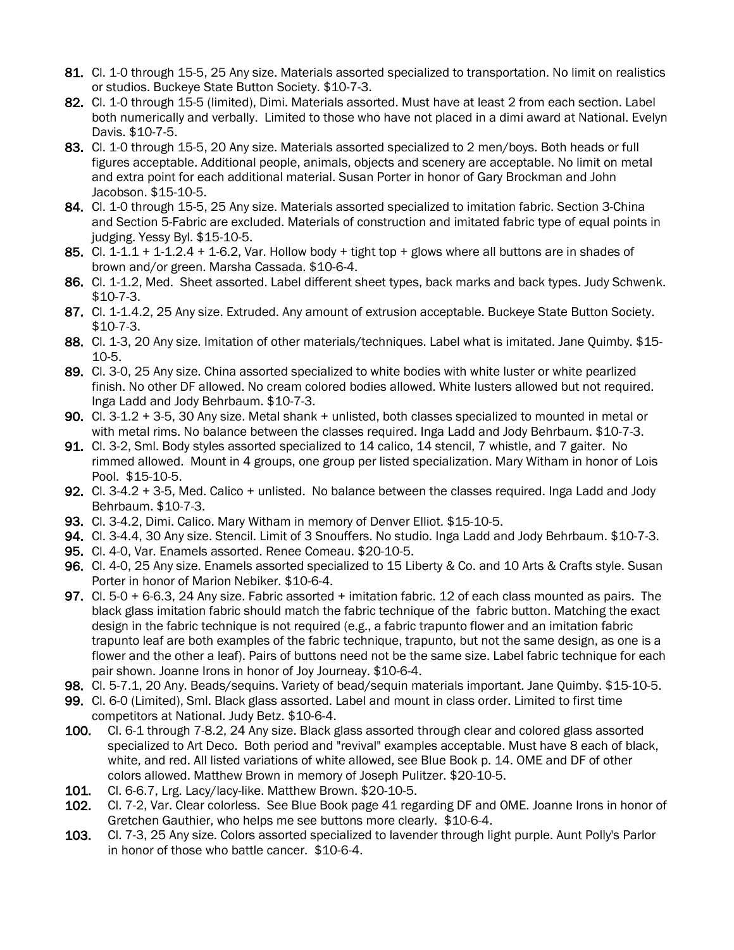- 81. Cl. 1-0 through 15-5, 25 Any size. Materials assorted specialized to transportation. No limit on realistics or studios. Buckeye State Button Society. \$10-7-3.
- 82. Cl. 1-0 through 15-5 (limited), Dimi. Materials assorted. Must have at least 2 from each section. Label both numerically and verbally. Limited to those who have not placed in a dimi award at National. Evelyn Davis. \$10-7-5.
- 83. Cl. 1-0 through 15-5, 20 Any size. Materials assorted specialized to 2 men/boys. Both heads or full figures acceptable. Additional people, animals, objects and scenery are acceptable. No limit on metal and extra point for each additional material. Susan Porter in honor of Gary Brockman and John Jacobson. \$15-10-5.
- 84. Cl. 1-0 through 15-5, 25 Any size. Materials assorted specialized to imitation fabric. Section 3-China and Section 5-Fabric are excluded. Materials of construction and imitated fabric type of equal points in judging. Yessy Byl. \$15-10-5.
- 85. Cl. 1-1.1 + 1-1.2.4 + 1-6.2, Var. Hollow body + tight top + glows where all buttons are in shades of brown and/or green. Marsha Cassada. \$10-6-4.
- 86. Cl. 1-1.2, Med. Sheet assorted. Label different sheet types, back marks and back types. Judy Schwenk. \$10-7-3.
- 87. Cl. 1-1.4.2, 25 Any size. Extruded. Any amount of extrusion acceptable. Buckeye State Button Society. \$10-7-3.
- 88. Cl. 1-3, 20 Any size. Imitation of other materials/techniques. Label what is imitated. Jane Quimby. \$15-10-5.
- 89. Cl. 3-0, 25 Any size. China assorted specialized to white bodies with white luster or white pearlized finish. No other DF allowed. No cream colored bodies allowed. White lusters allowed but not required. Inga Ladd and Jody Behrbaum. \$10-7-3.
- 90. Cl. 3-1.2 + 3-5, 30 Any size. Metal shank + unlisted, both classes specialized to mounted in metal or with metal rims. No balance between the classes required. Inga Ladd and Jody Behrbaum. \$10-7-3.
- 91. Cl. 3-2, Sml. Body styles assorted specialized to 14 calico, 14 stencil, 7 whistle, and 7 gaiter. No rimmed allowed. Mount in 4 groups, one group per listed specialization. Mary Witham in honor of Lois Pool. \$15-10-5.
- 92. Cl. 3-4.2 + 3-5, Med. Calico + unlisted. No balance between the classes required. Inga Ladd and Jody Behrbaum. \$10-7-3.
- 93. Cl. 3-4.2, Dimi. Calico. Mary Witham in memory of Denver Elliot. \$15-10-5.
- 94. Cl. 3-4.4, 30 Any size. Stencil. Limit of 3 Snouffers. No studio. Inga Ladd and Jody Behrbaum. \$10-7-3.
- 95. Cl. 4-0, Var. Enamels assorted. Renee Comeau. \$20-10-5.
- 96. Cl. 4-0, 25 Any size. Enamels assorted specialized to 15 Liberty & Co. and 10 Arts & Crafts style. Susan Porter in honor of Marion Nebiker. \$10-6-4.
- 97. Cl. 5-0 + 6-6.3, 24 Any size. Fabric assorted + imitation fabric. 12 of each class mounted as pairs. The black glass imitation fabric should match the fabric technique of the fabric button. Matching the exact design in the fabric technique is not required (e.g., a fabric trapunto flower and an imitation fabric trapunto leaf are both examples of the fabric technique, trapunto, but not the same design, as one is a flower and the other a leaf). Pairs of buttons need not be the same size. Label fabric technique for each pair shown. Joanne Irons in honor of Joy Journeay. \$10-6-4.
- 98. Cl. 5-7.1, 20 Any. Beads/sequins. Variety of bead/sequin materials important. Jane Quimby. \$15-10-5.
- 99. Cl. 6-0 (Limited), Sml. Black glass assorted. Label and mount in class order. Limited to first time competitors at National. Judy Betz. \$10-6-4.
- 100. Cl. 6-1 through 7-8.2, 24 Any size. Black glass assorted through clear and colored glass assorted specialized to Art Deco. Both period and "revival" examples acceptable. Must have 8 each of black, white, and red. All listed variations of white allowed, see Blue Book p. 14. OME and DF of other colors allowed. Matthew Brown in memory of Joseph Pulitzer. \$20-10-5.
- 101. Cl. 6-6.7, Lrg. Lacy/lacy-like. Matthew Brown. \$20-10-5.
- 102. Cl. 7-2, Var. Clear colorless. See Blue Book page 41 regarding DF and OME. Joanne Irons in honor of Gretchen Gauthier, who helps me see buttons more clearly. \$10-6-4.
- 103. Cl. 7-3, 25 Any size. Colors assorted specialized to lavender through light purple. Aunt Polly's Parlor in honor of those who battle cancer. \$10-6-4.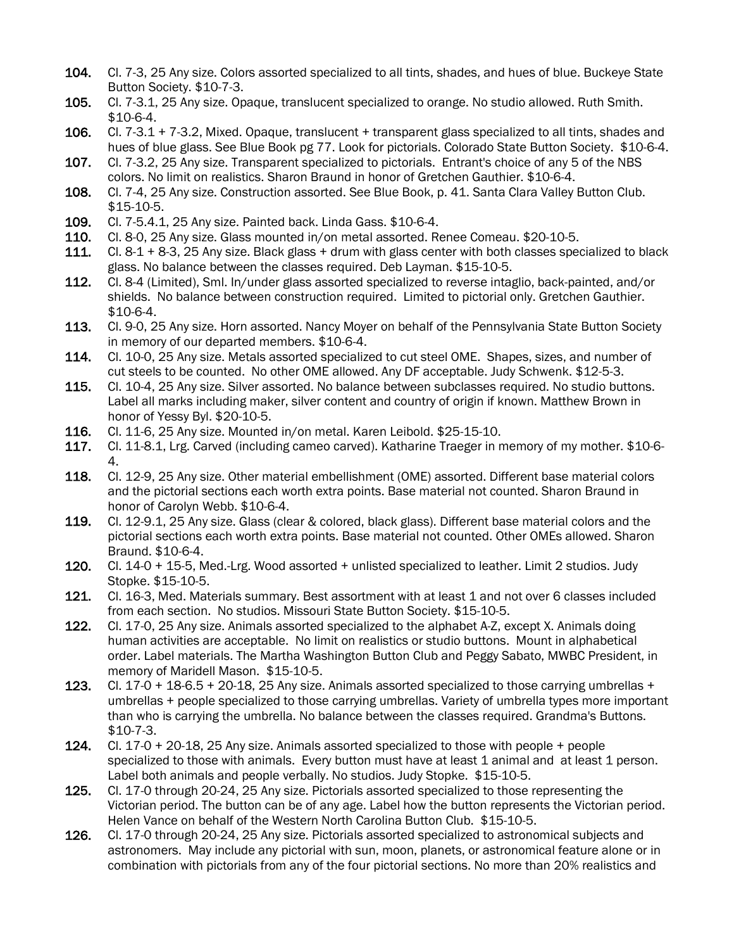- 104. Cl. 7-3, 25 Any size. Colors assorted specialized to all tints, shades, and hues of blue. Buckeye State Button Society. \$10-7-3.
- 105. Cl. 7-3.1, 25 Any size. Opaque, translucent specialized to orange. No studio allowed. Ruth Smith. \$10-6-4.
- 106. Cl. 7-3.1 + 7-3.2, Mixed. Opaque, translucent + transparent glass specialized to all tints, shades and hues of blue glass. See Blue Book pg 77. Look for pictorials. Colorado State Button Society. \$10-6-4.
- 107. Cl. 7-3.2, 25 Any size. Transparent specialized to pictorials. Entrant's choice of any 5 of the NBS colors. No limit on realistics. Sharon Braund in honor of Gretchen Gauthier. \$10-6-4.
- 108. Cl. 7-4, 25 Any size. Construction assorted. See Blue Book, p. 41. Santa Clara Valley Button Club. \$15-10-5.
- 109. Cl. 7-5.4.1, 25 Any size. Painted back. Linda Gass. \$10-6-4.
- 
- 110. Cl. 8-0, 25 Any size. Glass mounted in/on metal assorted. Renee Comeau. \$20-10-5.<br>111. Cl. 8-1 + 8-3, 25 Any size. Black glass + drum with glass center with both classes spec  $Cl. 8-1 + 8-3$ , 25 Any size. Black glass + drum with glass center with both classes specialized to black glass. No balance between the classes required. Deb Layman. \$15-10-5.
- 112. Cl. 8-4 (Limited), Sml. In/under glass assorted specialized to reverse intaglio, back-painted, and/or shields. No balance between construction required. Limited to pictorial only. Gretchen Gauthier. \$10-6-4.
- 113. Cl. 9-0, 25 Any size. Horn assorted. Nancy Moyer on behalf of the Pennsylvania State Button Society in memory of our departed members. \$10-6-4.
- 114. Cl. 10-0, 25 Any size. Metals assorted specialized to cut steel OME. Shapes, sizes, and number of cut steels to be counted. No other OME allowed. Any DF acceptable. Judy Schwenk. \$12-5-3.
- 115. Cl. 10-4, 25 Any size. Silver assorted. No balance between subclasses required. No studio buttons. Label all marks including maker, silver content and country of origin if known. Matthew Brown in honor of Yessy Byl. \$20-10-5.
- 116. Cl. 11-6, 25 Any size. Mounted in/on metal. Karen Leibold. \$25-15-10.
- 117. Cl. 11-8.1, Lrg. Carved (including cameo carved). Katharine Traeger in memory of my mother. \$10-6- 4.
- 118. Cl. 12-9, 25 Any size. Other material embellishment (OME) assorted. Different base material colors and the pictorial sections each worth extra points. Base material not counted. Sharon Braund in honor of Carolyn Webb. \$10-6-4.
- 119. Cl. 12-9.1, 25 Any size. Glass (clear & colored, black glass). Different base material colors and the pictorial sections each worth extra points. Base material not counted. Other OMEs allowed. Sharon Braund. \$10-6-4.
- 120. Cl. 14-0 + 15-5, Med.-Lrg. Wood assorted + unlisted specialized to leather. Limit 2 studios. Judy Stopke. \$15-10-5.
- 121. Cl. 16-3, Med. Materials summary. Best assortment with at least 1 and not over 6 classes included from each section. No studios. Missouri State Button Society. \$15-10-5.
- 122. Cl. 17-0, 25 Any size. Animals assorted specialized to the alphabet A-Z, except X. Animals doing human activities are acceptable. No limit on realistics or studio buttons. Mount in alphabetical order. Label materials. The Martha Washington Button Club and Peggy Sabato, MWBC President, in memory of Maridell Mason. \$15-10-5.
- 123. Cl. 17-0 + 18-6.5 + 20-18, 25 Any size. Animals assorted specialized to those carrying umbrellas + umbrellas + people specialized to those carrying umbrellas. Variety of umbrella types more important than who is carrying the umbrella. No balance between the classes required. Grandma's Buttons. \$10-7-3.
- 124. Cl. 17-0  $+$  20-18, 25 Any size. Animals assorted specialized to those with people  $+$  people specialized to those with animals. Every button must have at least 1 animal and at least 1 person. Label both animals and people verbally. No studios. Judy Stopke. \$15-10-5.
- 125. Cl. 17-0 through 20-24, 25 Any size. Pictorials assorted specialized to those representing the Victorian period. The button can be of any age. Label how the button represents the Victorian period. Helen Vance on behalf of the Western North Carolina Button Club. \$15-10-5.
- 126. Cl. 17-0 through 20-24, 25 Any size. Pictorials assorted specialized to astronomical subjects and astronomers. May include any pictorial with sun, moon, planets, or astronomical feature alone or in combination with pictorials from any of the four pictorial sections. No more than 20% realistics and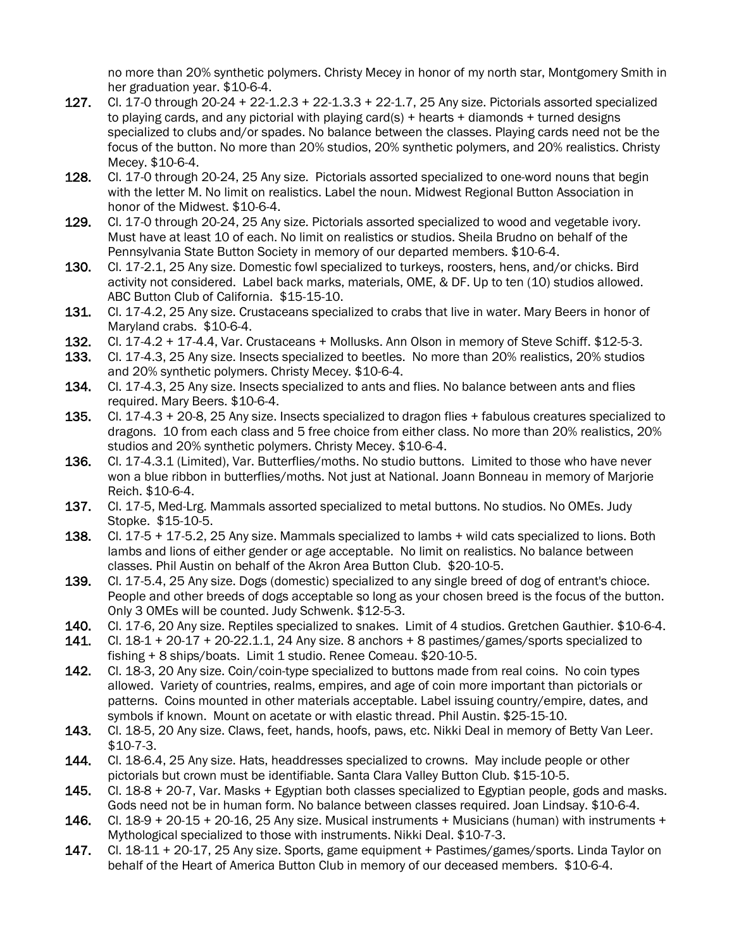no more than 20% synthetic polymers. Christy Mecey in honor of my north star, Montgomery Smith in her graduation year. \$10-6-4.

- 127. Cl. 17-0 through 20-24 + 22-1.2.3 + 22-1.3.3 + 22-1.7, 25 Any size. Pictorials assorted specialized to playing cards, and any pictorial with playing card(s) + hearts + diamonds + turned designs specialized to clubs and/or spades. No balance between the classes. Playing cards need not be the focus of the button. No more than 20% studios, 20% synthetic polymers, and 20% realistics. Christy Mecey. \$10-6-4.
- 128. Cl. 17-0 through 20-24, 25 Any size. Pictorials assorted specialized to one-word nouns that begin with the letter M. No limit on realistics. Label the noun. Midwest Regional Button Association in honor of the Midwest. \$10-6-4.
- 129. Cl. 17-0 through 20-24, 25 Any size. Pictorials assorted specialized to wood and vegetable ivory. Must have at least 10 of each. No limit on realistics or studios. Sheila Brudno on behalf of the Pennsylvania State Button Society in memory of our departed members. \$10-6-4.
- 130. Cl. 17-2.1, 25 Any size. Domestic fowl specialized to turkeys, roosters, hens, and/or chicks. Bird activity not considered. Label back marks, materials, OME, & DF. Up to ten (10) studios allowed. ABC Button Club of California. \$15-15-10.
- 131. Cl. 17-4.2, 25 Any size. Crustaceans specialized to crabs that live in water. Mary Beers in honor of Maryland crabs. \$10-6-4.
- 132. Cl. 17-4.2 + 17-4.4, Var. Crustaceans + Mollusks. Ann Olson in memory of Steve Schiff. \$12-5-3.
- 133. Cl. 17-4.3, 25 Any size. Insects specialized to beetles. No more than 20% realistics, 20% studios and 20% synthetic polymers. Christy Mecey. \$10-6-4.
- 134. Cl. 17-4.3, 25 Any size. Insects specialized to ants and flies. No balance between ants and flies required. Mary Beers. \$10-6-4.
- 135. Cl. 17-4.3 + 20-8, 25 Any size. Insects specialized to dragon flies + fabulous creatures specialized to dragons. 10 from each class and 5 free choice from either class. No more than 20% realistics, 20% studios and 20% synthetic polymers. Christy Mecey. \$10-6-4.
- 136. Cl. 17-4.3.1 (Limited), Var. Butterflies/moths. No studio buttons. Limited to those who have never won a blue ribbon in butterflies/moths. Not just at National. Joann Bonneau in memory of Marjorie Reich. \$10-6-4.
- 137. Cl. 17-5, Med-Lrg. Mammals assorted specialized to metal buttons. No studios. No OMEs. Judy Stopke. \$15-10-5.
- 138. Cl. 17-5 + 17-5.2, 25 Any size. Mammals specialized to lambs + wild cats specialized to lions. Both lambs and lions of either gender or age acceptable. No limit on realistics. No balance between classes. Phil Austin on behalf of the Akron Area Button Club. \$20-10-5.
- 139. Cl. 17-5.4, 25 Any size. Dogs (domestic) specialized to any single breed of dog of entrant's chioce. People and other breeds of dogs acceptable so long as your chosen breed is the focus of the button. Only 3 OMEs will be counted. Judy Schwenk. \$12-5-3.
- 140. Cl. 17-6, 20 Any size. Reptiles specialized to snakes. Limit of 4 studios. Gretchen Gauthier. \$10-6-4.
- 141. Cl.  $18-1 + 20-17 + 20-22.1.1$ , 24 Any size. 8 anchors  $+ 8$  pastimes/games/sports specialized to fishing + 8 ships/boats. Limit 1 studio. Renee Comeau. \$20-10-5.
- 142. Cl. 18-3, 20 Any size. Coin/coin-type specialized to buttons made from real coins. No coin types allowed. Variety of countries, realms, empires, and age of coin more important than pictorials or patterns. Coins mounted in other materials acceptable. Label issuing country/empire, dates, and symbols if known. Mount on acetate or with elastic thread. Phil Austin. \$25-15-10.
- 143. Cl. 18-5, 20 Any size. Claws, feet, hands, hoofs, paws, etc. Nikki Deal in memory of Betty Van Leer. \$10-7-3.
- 144. Cl. 18-6.4, 25 Any size. Hats, headdresses specialized to crowns. May include people or other pictorials but crown must be identifiable. Santa Clara Valley Button Club. \$15-10-5.
- 145. Cl. 18-8 + 20-7, Var. Masks + Egyptian both classes specialized to Egyptian people, gods and masks. Gods need not be in human form. No balance between classes required. Joan Lindsay. \$10-6-4.
- 146. Cl.  $18-9 + 20-15 + 20-16$ ,  $25$  Any size. Musical instruments + Musicians (human) with instruments + Mythological specialized to those with instruments. Nikki Deal. \$10-7-3.
- 147. Cl. 18-11 + 20-17, 25 Any size. Sports, game equipment + Pastimes/games/sports. Linda Taylor on behalf of the Heart of America Button Club in memory of our deceased members. \$10-6-4.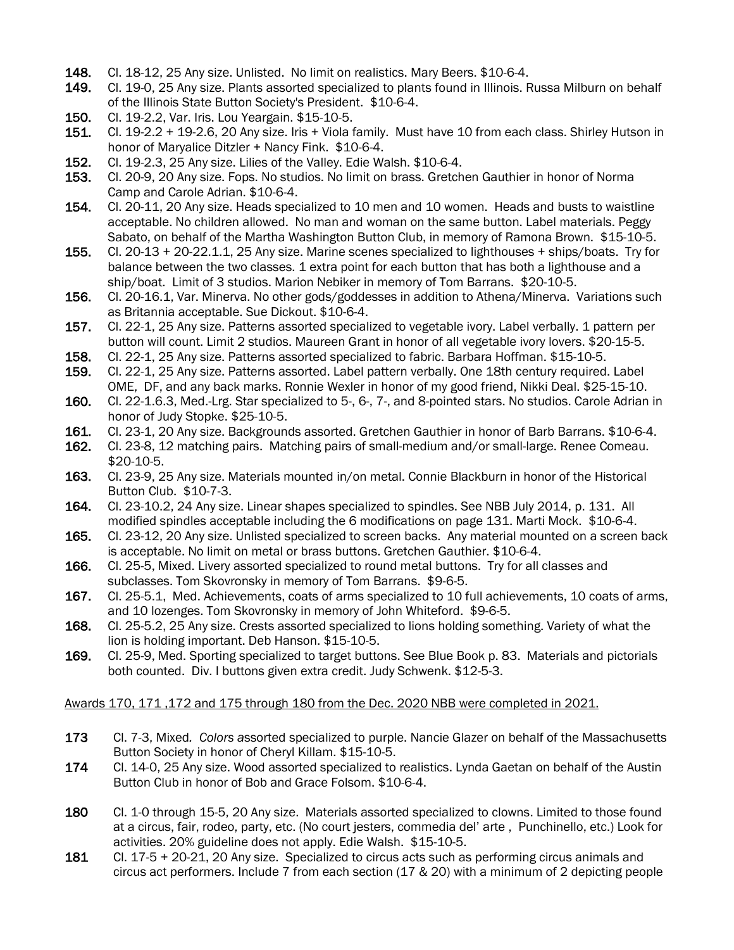- 148. Cl. 18-12, 25 Any size. Unlisted. No limit on realistics. Mary Beers. \$10-6-4.<br>149. Cl. 19-0. 25 Any size. Plants assorted specialized to plants found in Illinois. F
- Cl. 19-0, 25 Any size. Plants assorted specialized to plants found in Illinois. Russa Milburn on behalf of the Illinois State Button Society's President. \$10-6-4.
- 150. Cl. 19-2.2, Var. Iris. Lou Yeargain. \$15-10-5.<br>151. Cl. 19-2.2 + 19-2.6, 20 Any size. Iris + Viola f
- $C1. 19-2.2 + 19-2.6$ , 20 Any size. Iris + Viola family. Must have 10 from each class. Shirley Hutson in honor of Maryalice Ditzler + Nancy Fink. \$10-6-4.
- 152. Cl. 19-2.3, 25 Any size. Lilies of the Valley. Edie Walsh. \$10-6-4.<br>153. Cl. 20-9, 20 Any size. Fops. No studios. No limit on brass. Gretch
- Cl. 20-9, 20 Any size. Fops. No studios. No limit on brass. Gretchen Gauthier in honor of Norma Camp and Carole Adrian. \$10-6-4.
- 154. Cl. 20-11, 20 Any size. Heads specialized to 10 men and 10 women. Heads and busts to waistline acceptable. No children allowed. No man and woman on the same button. Label materials. Peggy Sabato, on behalf of the Martha Washington Button Club, in memory of Ramona Brown. \$15-10-5.
- 155. Cl. 20-13 + 20-22.1.1, 25 Any size. Marine scenes specialized to lighthouses + ships/boats. Try for balance between the two classes. 1 extra point for each button that has both a lighthouse and a ship/boat. Limit of 3 studios. Marion Nebiker in memory of Tom Barrans. \$20-10-5.
- 156. Cl. 20-16.1, Var. Minerva. No other gods/goddesses in addition to Athena/Minerva. Variations such as Britannia acceptable. Sue Dickout. \$10-6-4.
- 157. Cl. 22-1, 25 Any size. Patterns assorted specialized to vegetable ivory. Label verbally. 1 pattern per button will count. Limit 2 studios. Maureen Grant in honor of all vegetable ivory lovers. \$20-15-5.
- 158. Cl. 22-1, 25 Any size. Patterns assorted specialized to fabric. Barbara Hoffman. \$15-10-5.
- 159. Cl. 22-1, 25 Any size. Patterns assorted. Label pattern verbally. One 18th century required. Label OME, DF, and any back marks. Ronnie Wexler in honor of my good friend, Nikki Deal. \$25-15-10.
- 160. Cl. 22-1.6.3, Med.-Lrg. Star specialized to 5-, 6-, 7-, and 8-pointed stars. No studios. Carole Adrian in honor of Judy Stopke. \$25-10-5.
- 161. Cl. 23-1, 20 Any size. Backgrounds assorted. Gretchen Gauthier in honor of Barb Barrans. \$10-6-4.
- 162. Cl. 23-8, 12 matching pairs. Matching pairs of small-medium and/or small-large. Renee Comeau. \$20-10-5.
- 163. Cl. 23-9, 25 Any size. Materials mounted in/on metal. Connie Blackburn in honor of the Historical Button Club. \$10-7-3.
- 164. Cl. 23-10.2, 24 Any size. Linear shapes specialized to spindles. See NBB July 2014, p. 131. All modified spindles acceptable including the 6 modifications on page 131. Marti Mock. \$10-6-4.
- 165. Cl. 23-12, 20 Any size. Unlisted specialized to screen backs. Any material mounted on a screen back is acceptable. No limit on metal or brass buttons. Gretchen Gauthier. \$10-6-4.
- 166. Cl. 25-5, Mixed. Livery assorted specialized to round metal buttons. Try for all classes and subclasses. Tom Skovronsky in memory of Tom Barrans. \$9-6-5.
- 167. Cl. 25-5.1, Med. Achievements, coats of arms specialized to 10 full achievements, 10 coats of arms, and 10 lozenges. Tom Skovronsky in memory of John Whiteford. \$9-6-5.
- 168. Cl. 25-5.2, 25 Any size. Crests assorted specialized to lions holding something. Variety of what the lion is holding important. Deb Hanson. \$15-10-5.
- 169. Cl. 25-9, Med. Sporting specialized to target buttons. See Blue Book p. 83. Materials and pictorials both counted. Div. I buttons given extra credit. Judy Schwenk. \$12-5-3.

### Awards 170, 171 ,172 and 175 through 180 from the Dec. 2020 NBB were completed in 2021.

- 173 Cl. 7-3, Mixed*. Colors a*ssorted specialized to purple. Nancie Glazer on behalf of the Massachusetts Button Society in honor of Cheryl Killam. \$15-10-5.
- 174 Cl. 14-0, 25 Any size. Wood assorted specialized to realistics. Lynda Gaetan on behalf of the Austin Button Club in honor of Bob and Grace Folsom. \$10-6-4.
- 180 Cl. 1-0 through 15-5, 20 Any size. Materials assorted specialized to clowns. Limited to those found at a circus, fair, rodeo, party, etc. (No court jesters, commedia del' arte , Punchinello, etc.) Look for activities. 20% guideline does not apply. Edie Walsh. \$15-10-5.
- 181 Cl. 17-5 + 20-21, 20 Any size. Specialized to circus acts such as performing circus animals and circus act performers. Include 7 from each section (17 & 20) with a minimum of 2 depicting people